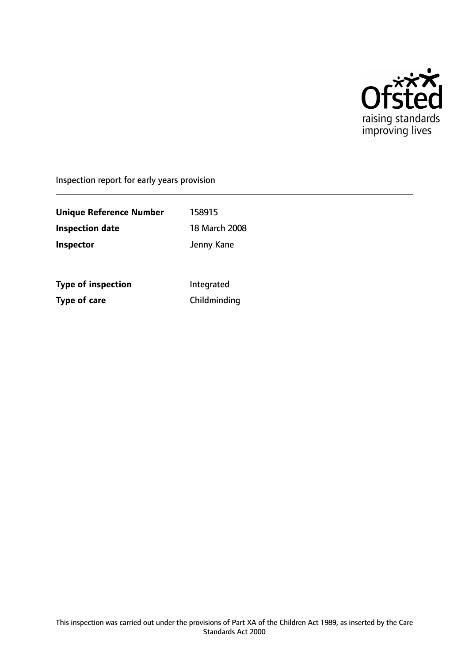

Inspection report for early years provision

**Unique Reference Number** 158915 **Inspection date** 18 March 2008 **Inspector Inspector Jenny Kane** 

**Type of inspection Integrated Type of care** Childminding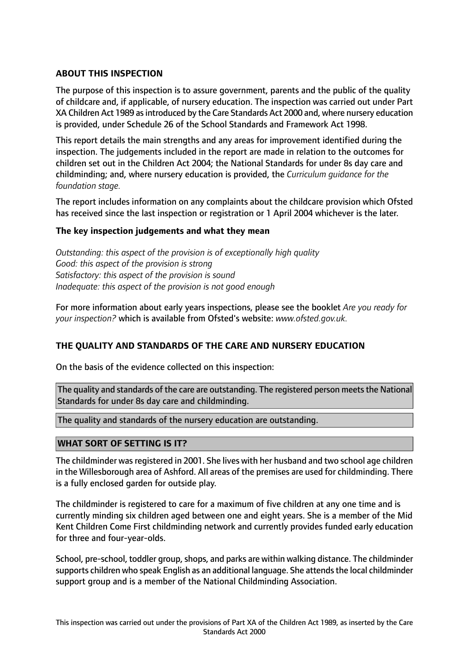# **ABOUT THIS INSPECTION**

The purpose of this inspection is to assure government, parents and the public of the quality of childcare and, if applicable, of nursery education. The inspection was carried out under Part XA Children Act 1989 asintroduced by the Care Standards Act 2000 and, where nursery education is provided, under Schedule 26 of the School Standards and Framework Act 1998.

This report details the main strengths and any areas for improvement identified during the inspection. The judgements included in the report are made in relation to the outcomes for children set out in the Children Act 2004; the National Standards for under 8s day care and childminding; and, where nursery education is provided, the *Curriculum guidance for the foundation stage.*

The report includes information on any complaints about the childcare provision which Ofsted has received since the last inspection or registration or 1 April 2004 whichever is the later.

### **The key inspection judgements and what they mean**

*Outstanding: this aspect of the provision is of exceptionally high quality Good: this aspect of the provision is strong Satisfactory: this aspect of the provision is sound Inadequate: this aspect of the provision is not good enough*

For more information about early years inspections, please see the booklet *Are you ready for your inspection?* which is available from Ofsted's website: *www.ofsted.gov.uk.*

### **THE QUALITY AND STANDARDS OF THE CARE AND NURSERY EDUCATION**

On the basis of the evidence collected on this inspection:

The quality and standards of the care are outstanding. The registered person meets the National Standards for under 8s day care and childminding.

The quality and standards of the nursery education are outstanding.

### **WHAT SORT OF SETTING IS IT?**

The childminder was registered in 2001. She lives with her husband and two school age children in the Willesborough area of Ashford. All areas of the premises are used for childminding. There is a fully enclosed garden for outside play.

The childminder is registered to care for a maximum of five children at any one time and is currently minding six children aged between one and eight years. She is a member of the Mid Kent Children Come First childminding network and currently provides funded early education for three and four-year-olds.

School, pre-school, toddler group, shops, and parks are within walking distance. The childminder supports children who speak English as an additional language. She attends the local childminder support group and is a member of the National Childminding Association.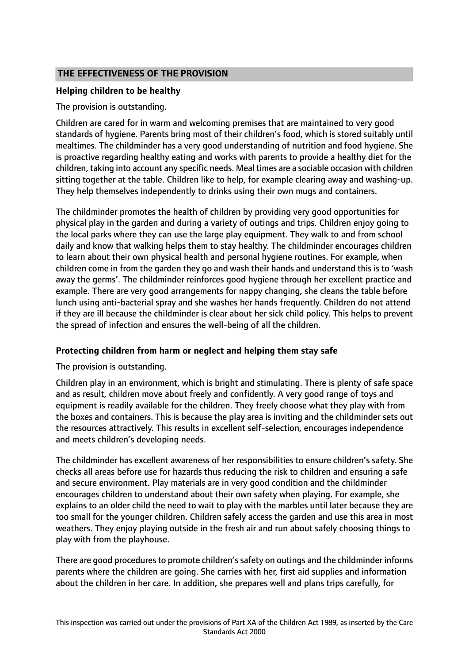# **THE EFFECTIVENESS OF THE PROVISION**

# **Helping children to be healthy**

The provision is outstanding.

Children are cared for in warm and welcoming premises that are maintained to very good standards of hygiene. Parents bring most of their children's food, which is stored suitably until mealtimes. The childminder has a very good understanding of nutrition and food hygiene. She is proactive regarding healthy eating and works with parents to provide a healthy diet for the children, taking into account any specific needs. Meal times are a sociable occasion with children sitting together at the table. Children like to help, for example clearing away and washing-up. They help themselves independently to drinks using their own mugs and containers.

The childminder promotes the health of children by providing very good opportunities for physical play in the garden and during a variety of outings and trips. Children enjoy going to the local parks where they can use the large play equipment. They walk to and from school daily and know that walking helps them to stay healthy. The childminder encourages children to learn about their own physical health and personal hygiene routines. For example, when children come in from the garden they go and wash their hands and understand this is to 'wash away the germs'. The childminder reinforces good hygiene through her excellent practice and example. There are very good arrangements for nappy changing, she cleans the table before lunch using anti-bacterial spray and she washes her hands frequently. Children do not attend if they are ill because the childminder is clear about her sick child policy. This helps to prevent the spread of infection and ensures the well-being of all the children.

### **Protecting children from harm or neglect and helping them stay safe**

### The provision is outstanding.

Children play in an environment, which is bright and stimulating. There is plenty of safe space and as result, children move about freely and confidently. A very good range of toys and equipment is readily available for the children. They freely choose what they play with from the boxes and containers. This is because the play area is inviting and the childminder sets out the resources attractively. This results in excellent self-selection, encourages independence and meets children's developing needs.

The childminder has excellent awareness of her responsibilities to ensure children's safety. She checks all areas before use for hazards thus reducing the risk to children and ensuring a safe and secure environment. Play materials are in very good condition and the childminder encourages children to understand about their own safety when playing. For example, she explains to an older child the need to wait to play with the marbles until later because they are too small for the younger children. Children safely access the garden and use this area in most weathers. They enjoy playing outside in the fresh air and run about safely choosing things to play with from the playhouse.

There are good procedures to promote children's safety on outings and the childminder informs parents where the children are going. She carries with her, first aid supplies and information about the children in her care. In addition, she prepares well and plans trips carefully, for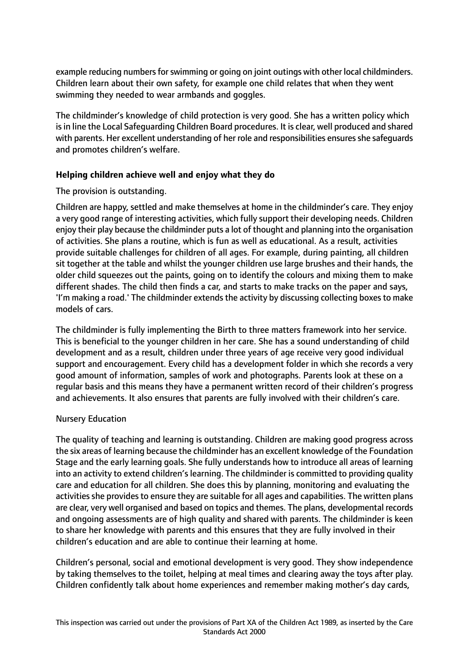example reducing numbers for swimming or going on joint outings with other local childminders. Children learn about their own safety, for example one child relates that when they went swimming they needed to wear armbands and goggles.

The childminder's knowledge of child protection is very good. She has a written policy which is in line the Local Safeguarding Children Board procedures. It is clear, well produced and shared with parents. Her excellent understanding of her role and responsibilities ensures she safequards and promotes children's welfare.

# **Helping children achieve well and enjoy what they do**

# The provision is outstanding.

Children are happy, settled and make themselves at home in the childminder's care. They enjoy a very good range of interesting activities, which fully support their developing needs. Children enjoy their play because the childminder puts a lot of thought and planning into the organisation of activities. She plans a routine, which is fun as well as educational. As a result, activities provide suitable challenges for children of all ages. For example, during painting, all children sit together at the table and whilst the younger children use large brushes and their hands, the older child squeezes out the paints, going on to identify the colours and mixing them to make different shades. The child then finds a car, and starts to make tracks on the paper and says, 'I'm making a road.' The childminder extends the activity by discussing collecting boxes to make models of cars.

The childminder is fully implementing the Birth to three matters framework into her service. This is beneficial to the younger children in her care. She has a sound understanding of child development and as a result, children under three years of age receive very good individual support and encouragement. Every child has a development folder in which she records a very good amount of information, samples of work and photographs. Parents look at these on a regular basis and this means they have a permanent written record of their children's progress and achievements. It also ensures that parents are fully involved with their children's care.

### Nursery Education

The quality of teaching and learning is outstanding. Children are making good progress across the six areas of learning because the childminder has an excellent knowledge of the Foundation Stage and the early learning goals. She fully understands how to introduce all areas of learning into an activity to extend children's learning. The childminder is committed to providing quality care and education for all children. She does this by planning, monitoring and evaluating the activities she provides to ensure they are suitable for all ages and capabilities. The written plans are clear, very well organised and based on topics and themes. The plans, developmental records and ongoing assessments are of high quality and shared with parents. The childminder is keen to share her knowledge with parents and this ensures that they are fully involved in their children's education and are able to continue their learning at home.

Children's personal, social and emotional development is very good. They show independence by taking themselves to the toilet, helping at meal times and clearing away the toys after play. Children confidently talk about home experiences and remember making mother's day cards,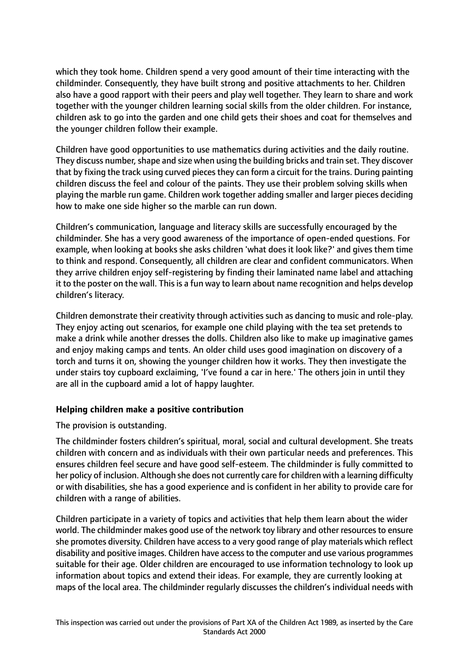which they took home. Children spend a very good amount of their time interacting with the childminder. Consequently, they have built strong and positive attachments to her. Children also have a good rapport with their peers and play well together. They learn to share and work together with the younger children learning social skills from the older children. For instance, children ask to go into the garden and one child gets their shoes and coat for themselves and the younger children follow their example.

Children have good opportunities to use mathematics during activities and the daily routine. They discuss number, shape and size when using the building bricks and train set. They discover that by fixing the track using curved pieces they can form a circuit for the trains. During painting children discuss the feel and colour of the paints. They use their problem solving skills when playing the marble run game. Children work together adding smaller and larger pieces deciding how to make one side higher so the marble can run down.

Children's communication, language and literacy skills are successfully encouraged by the childminder. She has a very good awareness of the importance of open-ended questions. For example, when looking at books she asks children 'what does it look like?' and gives them time to think and respond. Consequently, all children are clear and confident communicators. When they arrive children enjoy self-registering by finding their laminated name label and attaching it to the poster on the wall. This is a fun way to learn about name recognition and helps develop children's literacy.

Children demonstrate their creativity through activities such as dancing to music and role-play. They enjoy acting out scenarios, for example one child playing with the tea set pretends to make a drink while another dresses the dolls. Children also like to make up imaginative games and enjoy making camps and tents. An older child uses good imagination on discovery of a torch and turns it on, showing the younger children how it works. They then investigate the under stairs toy cupboard exclaiming, 'I've found a car in here.' The others join in until they are all in the cupboard amid a lot of happy laughter.

### **Helping children make a positive contribution**

The provision is outstanding.

The childminder fosters children's spiritual, moral, social and cultural development. She treats children with concern and as individuals with their own particular needs and preferences. This ensures children feel secure and have good self-esteem. The childminder is fully committed to her policy of inclusion. Although she does not currently care for children with a learning difficulty or with disabilities, she has a good experience and is confident in her ability to provide care for children with a range of abilities.

Children participate in a variety of topics and activities that help them learn about the wider world. The childminder makes good use of the network toy library and other resourcesto ensure she promotes diversity. Children have access to a very good range of play materials which reflect disability and positive images. Children have accessto the computer and use various programmes suitable for their age. Older children are encouraged to use information technology to look up information about topics and extend their ideas. For example, they are currently looking at maps of the local area. The childminder regularly discusses the children's individual needs with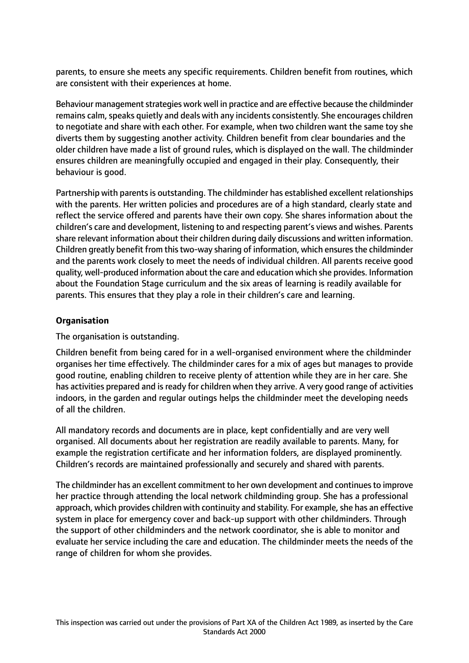parents, to ensure she meets any specific requirements. Children benefit from routines, which are consistent with their experiences at home.

Behaviour management strategies work well in practice and are effective because the childminder remains calm, speaks quietly and deals with any incidents consistently. She encourages children to negotiate and share with each other. For example, when two children want the same toy she diverts them by suggesting another activity. Children benefit from clear boundaries and the older children have made a list of ground rules, which is displayed on the wall. The childminder ensures children are meaningfully occupied and engaged in their play. Consequently, their behaviour is good.

Partnership with parents is outstanding. The childminder has established excellent relationships with the parents. Her written policies and procedures are of a high standard, clearly state and reflect the service offered and parents have their own copy. She shares information about the children's care and development, listening to and respecting parent's views and wishes. Parents share relevant information about their children during daily discussions and written information. Children greatly benefit from thistwo-way sharing of information, which ensuresthe childminder and the parents work closely to meet the needs of individual children. All parents receive good quality, well-produced information about the care and education which she provides. Information about the Foundation Stage curriculum and the six areas of learning is readily available for parents. This ensures that they play a role in their children's care and learning.

# **Organisation**

The organisation is outstanding.

Children benefit from being cared for in a well-organised environment where the childminder organises her time effectively. The childminder cares for a mix of ages but manages to provide good routine, enabling children to receive plenty of attention while they are in her care. She has activities prepared and is ready for children when they arrive. A very good range of activities indoors, in the garden and regular outings helps the childminder meet the developing needs of all the children.

All mandatory records and documents are in place, kept confidentially and are very well organised. All documents about her registration are readily available to parents. Many, for example the registration certificate and her information folders, are displayed prominently. Children's records are maintained professionally and securely and shared with parents.

The childminder has an excellent commitment to her own development and continuesto improve her practice through attending the local network childminding group. She has a professional approach, which provides children with continuity and stability. For example, she has an effective system in place for emergency cover and back-up support with other childminders. Through the support of other childminders and the network coordinator, she is able to monitor and evaluate her service including the care and education. The childminder meets the needs of the range of children for whom she provides.